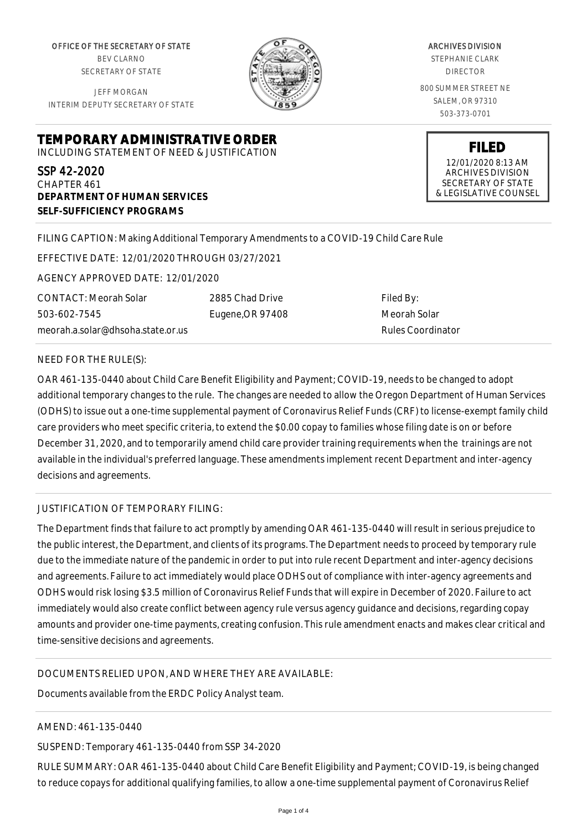OFFICE OF THE SECRETARY OF STATE BEV CLARNO SECRETARY OF STATE

JEFF MORGAN INTERIM DEPUTY SECRETARY OF STATE

**DEPARTMENT OF HUMAN SERVICES**

**SELF-SUFFICIENCY PROGRAMS**



ARCHIVES DIVISION STEPHANIE CLARK DIRECTOR 800 SUMMER STREET NE SALEM, OR 97310

503-373-0701

**FILED**

12/01/2020 8:13 AM ARCHIVES DIVISION SECRETARY OF STATE & LEGISLATIVE COUNSEL

FILING CAPTION: Making Additional Temporary Amendments to a COVID-19 Child Care Rule

EFFECTIVE DATE: 12/01/2020 THROUGH 03/27/2021

**TEMPORARY ADMINISTRATIVE ORDER** INCLUDING STATEMENT OF NEED & JUSTIFICATION

AGENCY APPROVED DATE: 12/01/2020

CONTACT: Meorah Solar 503-602-7545 meorah.a.solar@dhsoha.state.or.us 2885 Chad Drive Eugene,OR 97408

Filed By: Meorah Solar Rules Coordinator

## NEED FOR THE RULE(S):

SSP 42-2020 CHAPTER 461

OAR 461-135-0440 about Child Care Benefit Eligibility and Payment; COVID-19, needs to be changed to adopt additional temporary changes to the rule. The changes are needed to allow the Oregon Department of Human Services (ODHS) to issue out a one-time supplemental payment of Coronavirus Relief Funds (CRF) to license-exempt family child care providers who meet specific criteria, to extend the \$0.00 copay to families whose filing date is on or before December 31, 2020, and to temporarily amend child care provider training requirements when the trainings are not available in the individual's preferred language. These amendments implement recent Department and inter-agency decisions and agreements.

## JUSTIFICATION OF TEMPORARY FILING:

The Department finds that failure to act promptly by amending OAR 461-135-0440 will result in serious prejudice to the public interest, the Department, and clients of its programs. The Department needs to proceed by temporary rule due to the immediate nature of the pandemic in order to put into rule recent Department and inter-agency decisions and agreements. Failure to act immediately would place ODHS out of compliance with inter-agency agreements and ODHS would risk losing \$3.5 million of Coronavirus Relief Funds that will expire in December of 2020. Failure to act immediately would also create conflict between agency rule versus agency guidance and decisions, regarding copay amounts and provider one-time payments, creating confusion. This rule amendment enacts and makes clear critical and time-sensitive decisions and agreements.

## DOCUMENTS RELIED UPON, AND WHERE THEY ARE AVAILABLE:

Documents available from the ERDC Policy Analyst team.

## AMEND: 461-135-0440

SUSPEND: Temporary 461-135-0440 from SSP 34-2020

RULE SUMMARY: OAR 461-135-0440 about Child Care Benefit Eligibility and Payment; COVID-19, is being changed to reduce copays for additional qualifying families, to allow a one-time supplemental payment of Coronavirus Relief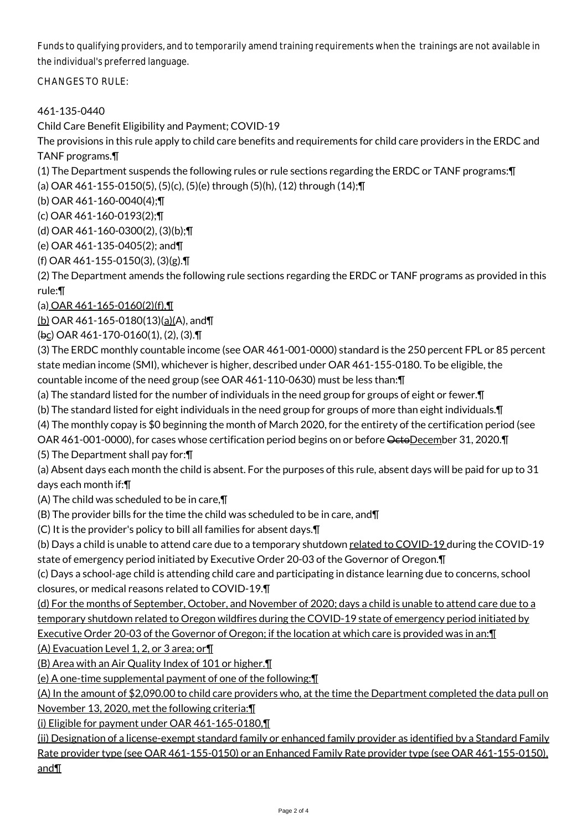Funds to qualifying providers, and to temporarily amend training requirements when the trainings are not available in the individual's preferred language.

CHANGES TO RULE:

# 461-135-0440

Child Care Benefit Eligibility and Payment; COVID-19

The provisions in this rule apply to child care benefits and requirements for child care providers in the ERDC and TANF programs.¶

(1) The Department suspends the following rules or rule sections regarding the ERDC or TANF programs:¶

(a) OAR 461-155-0150(5), (5)(c), (5)(e) through (5)(h), (12) through (14);¶

(b) OAR 461-160-0040(4);¶

(c) OAR 461-160-0193(2);¶

(d) OAR 461-160-0300(2), (3)(b);¶

(e) OAR 461-135-0405(2); and¶

(f) OAR 461-155-0150(3), (3)(g).¶

(2) The Department amends the following rule sections regarding the ERDC or TANF programs as provided in this rule:¶

(a) OAR  $461 - 165 - 0160(2)(f)$ ,  $\P$ 

(b) OAR 461-165-0180(13)(a)(A), and¶

(bc) OAR 461-170-0160(1), (2), (3).¶

(3) The ERDC monthly countable income (see OAR 461-001-0000) standard is the 250 percent FPL or 85 percent state median income (SMI), whichever is higher, described under OAR 461-155-0180. To be eligible, the countable income of the need group (see OAR 461-110-0630) must be less than:¶

(a) The standard listed for the number of individuals in the need group for groups of eight or fewer.¶

(b) The standard listed for eight individuals in the need group for groups of more than eight individuals.¶

(4) The monthly copay is \$0 beginning the month of March 2020, for the entirety of the certification period (see

OAR 461-001-0000), for cases whose certification period begins on or before OctoDecember 31, 2020.

(5) The Department shall pay for:¶

(a) Absent days each month the child is absent. For the purposes of this rule, absent days will be paid for up to 31 days each month if:¶

(A) The child was scheduled to be in care,¶

(B) The provider bills for the time the child was scheduled to be in care, and¶

(C) It is the provider's policy to bill all families for absent days.¶

(b) Days a child is unable to attend care due to a temporary shutdown related to COVID-19 during the COVID-19 state of emergency period initiated by Executive Order 20-03 of the Governor of Oregon.¶

(c) Days a school-age child is attending child care and participating in distance learning due to concerns, school closures, or medical reasons related to COVID-19.¶

(d) For the months of September, October, and November of 2020; days a child is unable to attend care due to a temporary shutdown related to Oregon wildfires during the COVID-19 state of emergency period initiated by Executive Order 20-03 of the Governor of Oregon; if the location at which care is provided was in an:¶

(A) Evacuation Level 1, 2, or 3 area; or¶

(B) Area with an Air Quality Index of 101 or higher.¶

(e) A one-time supplemental payment of one of the following:¶

(A) In the amount of \$2,090.00 to child care providers who, at the time the Department completed the data pull on November 13, 2020, met the following criteria:¶

(i) Eligible for payment under OAR 461-165-0180,¶

(ii) Designation of a license-exempt standard family or enhanced family provider as identified by a Standard Family Rate provider type (see OAR 461-155-0150) or an Enhanced Family Rate provider type (see OAR 461-155-0150), and¶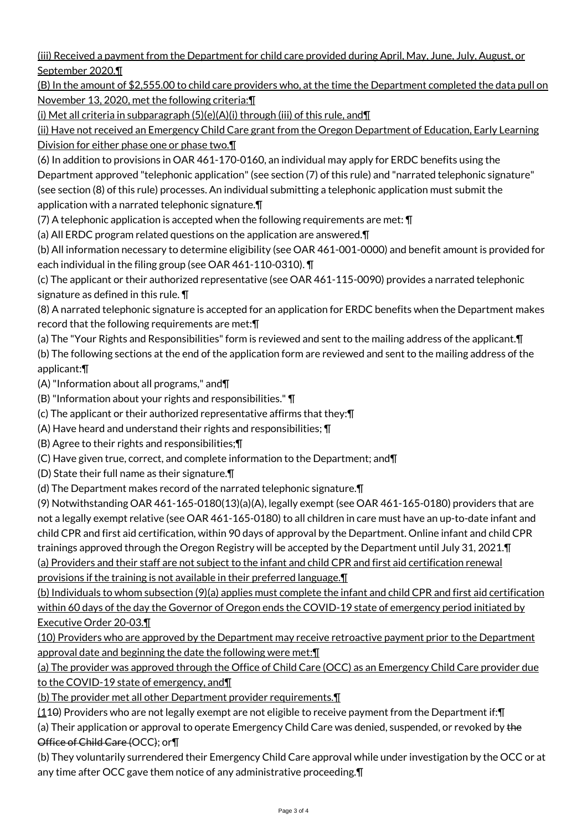(iii) Received a payment from the Department for child care provided during April, May, June, July, August, or September 2020.¶

(B) In the amount of \$2,555.00 to child care providers who, at the time the Department completed the data pull on November 13, 2020, met the following criteria:¶

(i) Met all criteria in subparagraph  $(5)(e)(A)(i)$  through (iii) of this rule, and  $\P$ 

(ii) Have not received an Emergency Child Care grant from the Oregon Department of Education, Early Learning Division for either phase one or phase two.¶

(6) In addition to provisions in OAR 461-170-0160, an individual may apply for ERDC benefits using the Department approved "telephonic application" (see section (7) of this rule) and "narrated telephonic signature" (see section (8) of this rule) processes. An individual submitting a telephonic application must submit the application with a narrated telephonic signature.¶

(7) A telephonic application is accepted when the following requirements are met: ¶

(a) All ERDC program related questions on the application are answered.¶

(b) All information necessary to determine eligibility (see OAR 461-001-0000) and benefit amount is provided for each individual in the filing group (see OAR 461-110-0310). ¶

(c) The applicant or their authorized representative (see OAR 461-115-0090) provides a narrated telephonic signature as defined in this rule. ¶

(8) A narrated telephonic signature is accepted for an application for ERDC benefits when the Department makes record that the following requirements are met:¶

(a) The "Your Rights and Responsibilities" form is reviewed and sent to the mailing address of the applicant.¶ (b) The following sections at the end of the application form are reviewed and sent to the mailing address of the applicant:¶

(A) "Information about all programs," and¶

(B) "Information about your rights and responsibilities." ¶

(c) The applicant or their authorized representative affirms that they:¶

(A) Have heard and understand their rights and responsibilities; ¶

(B) Agree to their rights and responsibilities;¶

(C) Have given true, correct, and complete information to the Department; and¶

(D) State their full name as their signature.¶

(d) The Department makes record of the narrated telephonic signature.¶

(9) Notwithstanding OAR 461-165-0180(13)(a)(A), legally exempt (see OAR 461-165-0180) providers that are not a legally exempt relative (see OAR 461-165-0180) to all children in care must have an up-to-date infant and child CPR and first aid certification, within 90 days of approval by the Department. Online infant and child CPR trainings approved through the Oregon Registry will be accepted by the Department until July 31, 2021.¶ (a) Providers and their staff are not subject to the infant and child CPR and first aid certification renewal provisions if the training is not available in their preferred language.¶

(b) Individuals to whom subsection (9)(a) applies must complete the infant and child CPR and first aid certification within 60 days of the day the Governor of Oregon ends the COVID-19 state of emergency period initiated by Executive Order 20-03.¶

(10) Providers who are approved by the Department may receive retroactive payment prior to the Department approval date and beginning the date the following were met:¶

(a) The provider was approved through the Office of Child Care (OCC) as an Emergency Child Care provider due to the COVID-19 state of emergency, and¶

(b) The provider met all other Department provider requirements.¶

(110) Providers who are not legally exempt are not eligible to receive payment from the Department if:¶

(a) Their application or approval to operate Emergency Child Care was denied, suspended, or revoked by the Office of Child Care (OCC); or¶

(b) They voluntarily surrendered their Emergency Child Care approval while under investigation by the OCC or at any time after OCC gave them notice of any administrative proceeding.¶